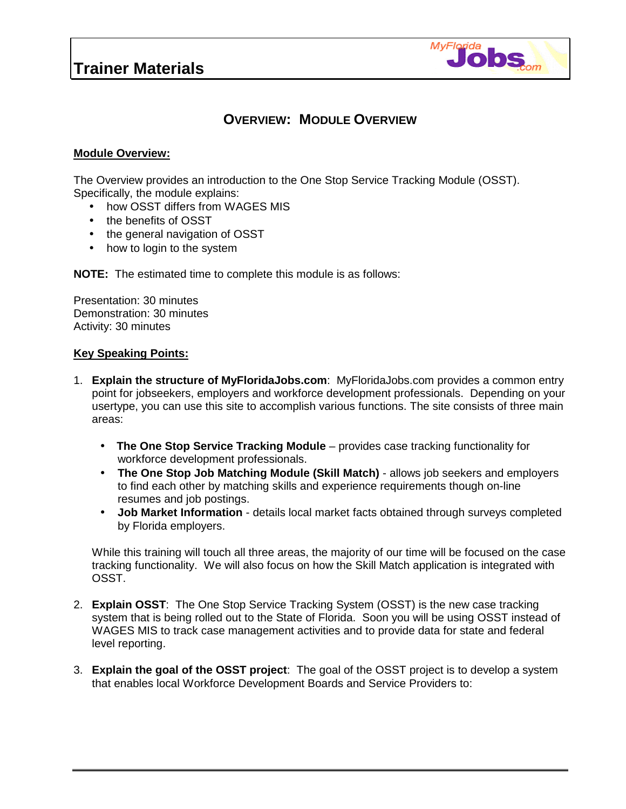### **Trainer Materials**



### **OVERVIEW: MODULE OVERVIEW**

#### **Module Overview:**

The Overview provides an introduction to the One Stop Service Tracking Module (OSST). Specifically, the module explains:

- how OSST differs from WAGES MIS
- the benefits of OSST
- the general navigation of OSST
- how to login to the system

**NOTE:** The estimated time to complete this module is as follows:

Presentation: 30 minutes Demonstration: 30 minutes Activity: 30 minutes

#### **Key Speaking Points:**

- 1. **Explain the structure of MyFloridaJobs.com**: MyFloridaJobs.com provides a common entry point for jobseekers, employers and workforce development professionals. Depending on your usertype, you can use this site to accomplish various functions. The site consists of three main areas:
	- • **The One Stop Service Tracking Module** provides case tracking functionality for workforce development professionals.
	- **The One Stop Job Matching Module (Skill Match)** allows job seekers and employers to find each other by matching skills and experience requirements though on-line resumes and job postings.
	- **Job Market Information**  details local market facts obtained through surveys completed by Florida employers.

While this training will touch all three areas, the majority of our time will be focused on the case tracking functionality. We will also focus on how the Skill Match application is integrated with OSST.

- 2. **Explain OSST**: The One Stop Service Tracking System (OSST) is the new case tracking system that is being rolled out to the State of Florida. Soon you will be using OSST instead of WAGES MIS to track case management activities and to provide data for state and federal level reporting.
- 3. **Explain the goal of the OSST project**: The goal of the OSST project is to develop a system that enables local Workforce Development Boards and Service Providers to: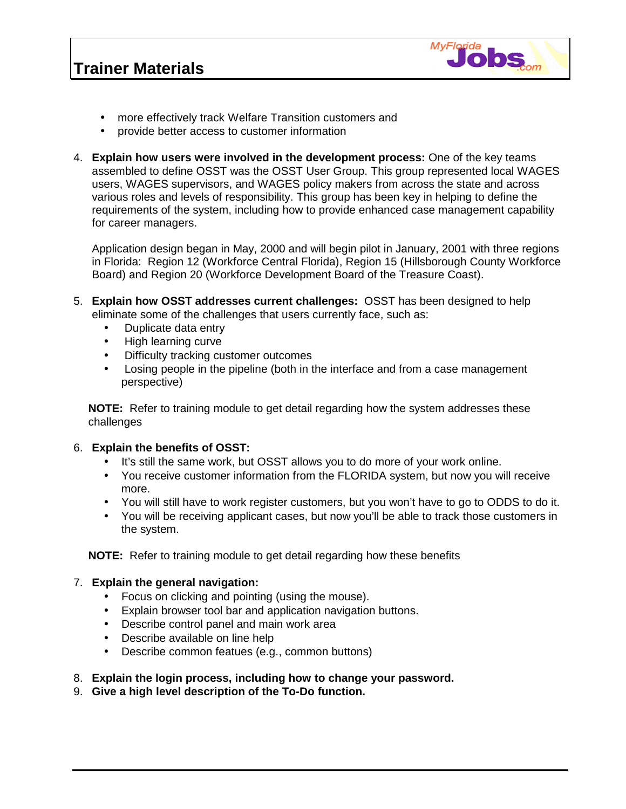## **Trainer Materials**



- more effectively track Welfare Transition customers and
- provide better access to customer information
- 4. **Explain how users were involved in the development process:** One of the key teams assembled to define OSST was the OSST User Group. This group represented local WAGES users, WAGES supervisors, and WAGES policy makers from across the state and across various roles and levels of responsibility. This group has been key in helping to define the requirements of the system, including how to provide enhanced case management capability for career managers.

Application design began in May, 2000 and will begin pilot in January, 2001 with three regions in Florida: Region 12 (Workforce Central Florida), Region 15 (Hillsborough County Workforce Board) and Region 20 (Workforce Development Board of the Treasure Coast).

- 5. **Explain how OSST addresses current challenges:** OSST has been designed to help eliminate some of the challenges that users currently face, such as:
	- Duplicate data entry
	- High learning curve
	- Difficulty tracking customer outcomes
	- Losing people in the pipeline (both in the interface and from a case management perspective)

**NOTE:** Refer to training module to get detail regarding how the system addresses these challenges

### 6. **Explain the benefits of OSST:**

- It's still the same work, but OSST allows you to do more of your work online.
- You receive customer information from the FLORIDA system, but now you will receive more.
- You will still have to work register customers, but you won't have to go to ODDS to do it.
- You will be receiving applicant cases, but now you'll be able to track those customers in the system.

**NOTE:** Refer to training module to get detail regarding how these benefits

### 7. **Explain the general navigation:**

- Focus on clicking and pointing (using the mouse).
- Explain browser tool bar and application navigation buttons.
- Describe control panel and main work area
- Describe available on line help
- Describe common featues (e.g., common buttons)
- 8. **Explain the login process, including how to change your password.**
- 9. **Give a high level description of the To-Do function.**